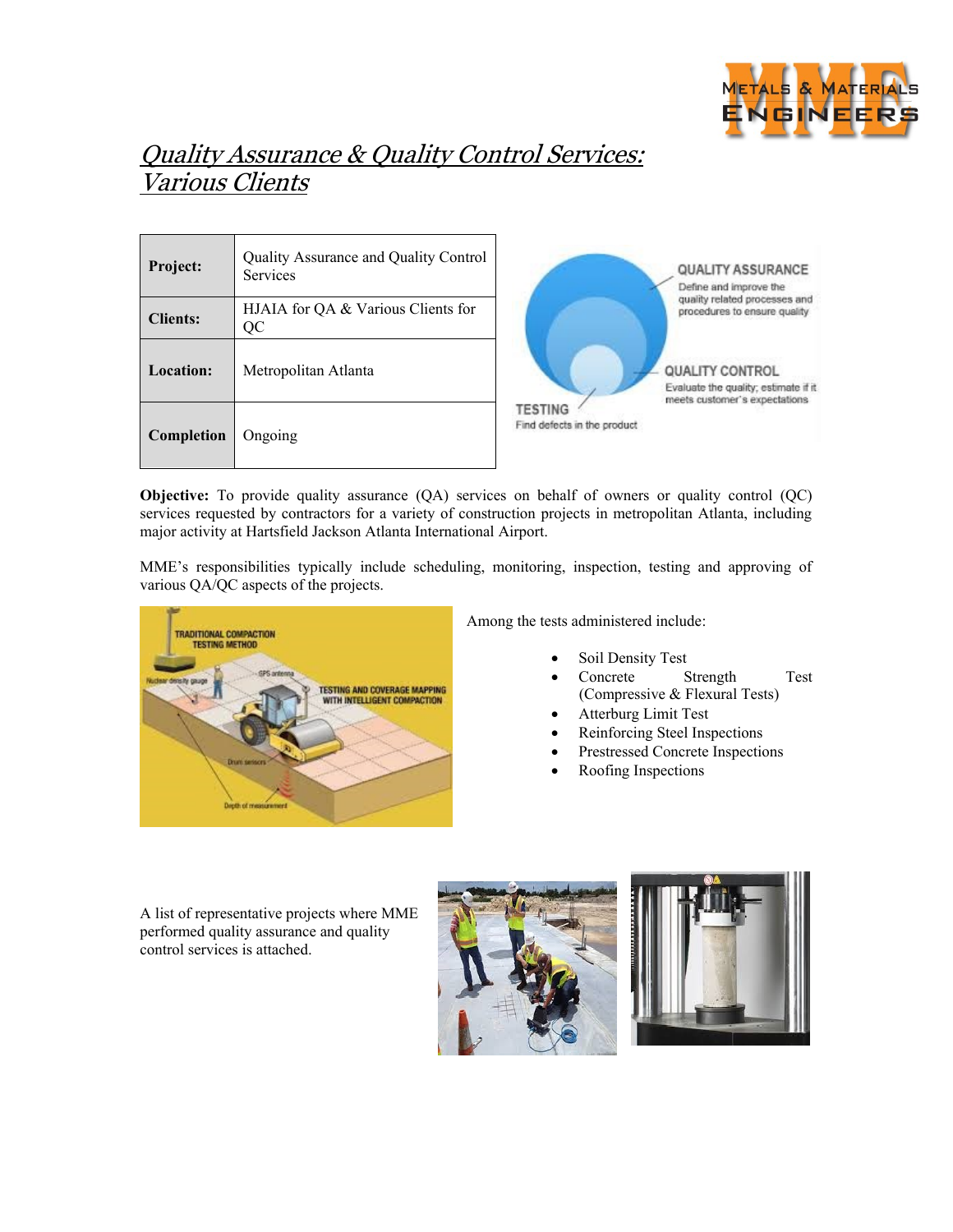

## Quality Assurance & Quality Control Services: Various Clients

| Project:        | Quality Assurance and Quality Control<br>Services |  |  |
|-----------------|---------------------------------------------------|--|--|
| <b>Clients:</b> | HJAIA for OA & Various Clients for<br>QC          |  |  |
| Location:       | Metropolitan Atlanta                              |  |  |
| Completion      | Ongoing                                           |  |  |



**Objective:** To provide quality assurance (QA) services on behalf of owners or quality control (QC) services requested by contractors for a variety of construction projects in metropolitan Atlanta, including major activity at Hartsfield Jackson Atlanta International Airport.

MME's responsibilities typically include scheduling, monitoring, inspection, testing and approving of various QA/QC aspects of the projects.



Among the tests administered include:

- Soil Density Test
- Concrete Strength Test (Compressive & Flexural Tests)
- Atterburg Limit Test
- Reinforcing Steel Inspections
- Prestressed Concrete Inspections
- Roofing Inspections

A list of representative projects where MME performed quality assurance and quality control services is attached.